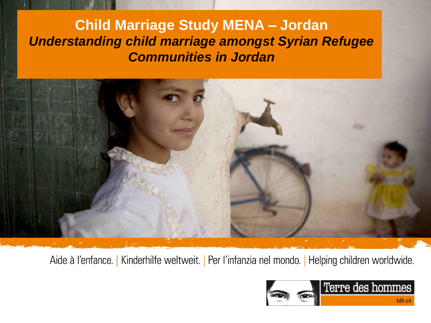### **Child Marriage Study MENA – Jordan** *Understanding child marriage amongst Syrian Refugee Communities in Jordan*



Aide à l'enfance. | Kinderhilfe weltweit. | Per l'infanzia nel mondo. | Helping children worldwide.

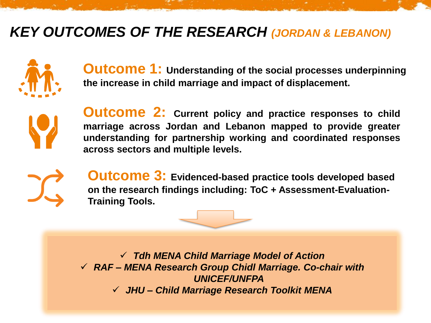### *KEY OUTCOMES OF THE RESEARCH (JORDAN & LEBANON)*



**Outcome 1: Understanding of the social processes underpinning the increase in child marriage and impact of displacement.**



**Outcome 2: Current policy and practice responses to child marriage across Jordan and Lebanon mapped to provide greater understanding for partnership working and coordinated responses across sectors and multiple levels.**



**Outcome 3: Evidenced-based practice tools developed based on the research findings including: ToC + Assessment-Evaluation-Training Tools.**



✓ *Tdh MENA Child Marriage Model of Action* ✓ *RAF – MENA Research Group Chidl Marriage. Co-chair with UNICEF/UNFPA* ✓ *JHU – Child Marriage Research Toolkit MENA*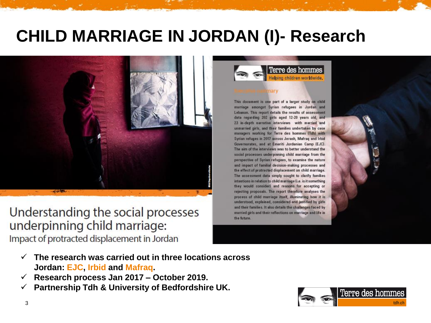# **CHILD MARRIAGE IN JORDAN (I)- Research**



Understanding the social processes underpinning child marriage: Impact of protracted displacement in Jordan

Terre des hommes no children worldwide.

This document is one part of a larger study on child marriage amongst Syrian refugees in Jordan and Lebanon. This report details the results of assessment data regarding 202 girls aged 12-20 years old, and 23 in-depth narrative interviews with married and unmarried girls, and their families undertaken by case managers working for Terre des hommes (Tdh) with Syrian refuges in 2017 across Jerash, Mafraq and Irbid Governorates, and at Emeriti Jordanian Camp (EJC). The aim of the interviews was to better understand the social processes underpinning child marriage from the perspective of Syrian refugees, to examine the nature and impact of familial decision-making processes and the effect of protracted displacement on child marriage. The assessment data simply sought to clarify families intentions in relation to child marriage (i.e. is it something they would consider) and reasons for accepting or rejecting proposals. The report therefore analyses the process of child marriage itself, illuminating how it is understood, explained, considered and justified by girls and their families. It also details the challenges faced by married girls and their reflections on marriage and life in the future.

- ✓ **The research was carried out in three locations across Jordan: EJC, Irbid and Mafraq.**
- ✓ **Research process Jan 2017 – October 2019.**
- ✓ **Partnership Tdh & University of Bedfordshire UK.**

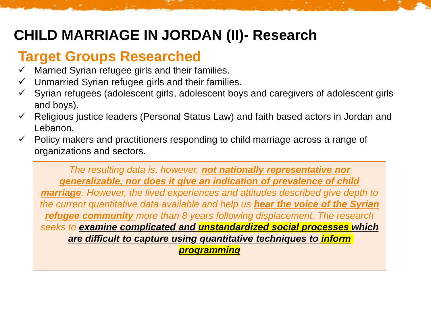# **CHILD MARRIAGE IN JORDAN (II)- Research**

## **Target Groups Researched**

- $\checkmark$  Married Syrian refugee girls and their families.
- ✓ Unmarried Syrian refugee girls and their families.
- Syrian refugees (adolescent girls, adolescent boys and caregivers of adolescent girls and boys).
- Religious justice leaders (Personal Status Law) and faith based actors in Jordan and Lebanon.
- Policy makers and practitioners responding to child marriage across a range of organizations and sectors.

*The resulting data is, however, not nationally representative nor generalizable, nor does it give an indication of prevalence of child marriage. However, the lived experiences and attitudes described give depth to the current quantitative data available and help us hear the voice of the Syrian refugee community more than 8 years following displacement. The research seeks to examine complicated and unstandardized social processes which are difficult to capture using quantitative techniques to inform programming*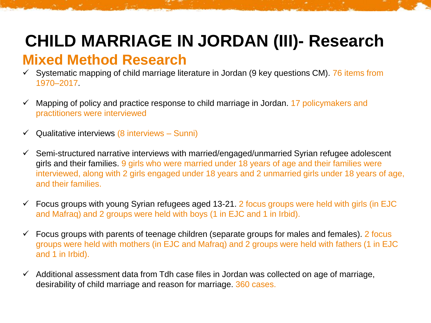# **CHILD MARRIAGE IN JORDAN (III)- Research**

### **Mixed Method Research**

- $\checkmark$  Systematic mapping of child marriage literature in Jordan (9 key questions CM). 76 items from 1970–2017.
- $\checkmark$  Mapping of policy and practice response to child marriage in Jordan. 17 policymakers and practitioners were interviewed
- $\checkmark$  Qualitative interviews (8 interviews Sunni)
- $\checkmark$  Semi-structured narrative interviews with married/engaged/unmarried Syrian refugee adolescent girls and their families. 9 girls who were married under 18 years of age and their families were interviewed, along with 2 girls engaged under 18 years and 2 unmarried girls under 18 years of age, and their families.
- $\checkmark$  Focus groups with young Syrian refugees aged 13-21. 2 focus groups were held with girls (in EJC and Mafraq) and 2 groups were held with boys (1 in EJC and 1 in Irbid).
- $\checkmark$  Focus groups with parents of teenage children (separate groups for males and females). 2 focus groups were held with mothers (in EJC and Mafraq) and 2 groups were held with fathers (1 in EJC and 1 in Irbid).
- $\checkmark$  Additional assessment data from Tdh case files in Jordan was collected on age of marriage, desirability of child marriage and reason for marriage. 360 cases.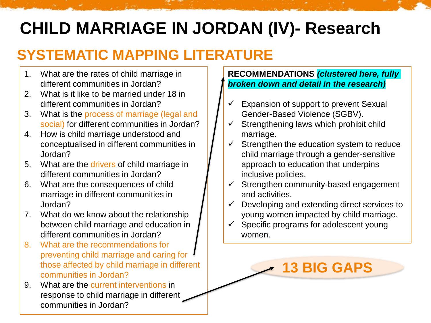# **CHILD MARRIAGE IN JORDAN (IV)- Research**

# **SYSTEMATIC MAPPING LITERATURE**

- 1. What are the rates of child marriage in different communities in Jordan?
- 2. What is it like to be married under 18 in different communities in Jordan?
- 3. What is the process of marriage (legal and social) for different communities in Jordan?
- 4. How is child marriage understood and conceptualised in different communities in Jordan?
- 5. What are the drivers of child marriage in different communities in Jordan?
- 6. What are the consequences of child marriage in different communities in Jordan?
- 7. What do we know about the relationship between child marriage and education in different communities in Jordan?
- 8. What are the recommendations for preventing child marriage and caring for those affected by child marriage in different communities in Jordan?
- 9. What are the current interventions in response to child marriage in different communities in Jordan?

### **RECOMMENDATIONS** *(clustered here, fully broken down and detail in the research)*

- Expansion of support to prevent Sexual Gender-Based Violence (SGBV).
- $\checkmark$  Strengthening laws which prohibit child marriage.
- $\checkmark$  Strengthen the education system to reduce child marriage through a gender-sensitive approach to education that underpins inclusive policies.
- $\checkmark$  Strengthen community-based engagement and activities.
- $\checkmark$  Developing and extending direct services to young women impacted by child marriage.

**13 BIG GAPS**

 $\checkmark$  Specific programs for adolescent young women.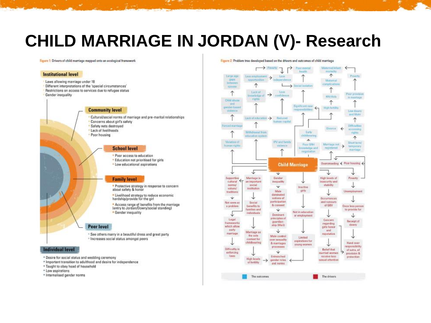# **CHILD MARRIAGE IN JORDAN (V)- Research**

Figure 1: Drivers of child marriage mapped onto an ecological framework

#### **Institutional level**

Laws allowing marriage under 18

- Different interpretations of the 'special circumstances'
- Restrictions on access to services due to refugee status

Gender inequality



#### **School level**

\* Poor access to education \* Education not prioritised for girls \* Low educational aspirations

#### **Family level**

\* Protective strategy in response to concern about safety & honor

\* Livelihood strategy to reduce economic hardship/provide for the girl

\* Access range of benefits from the marriage lentry to Jordan/Dowry/social standing) · Gender inequality

#### **Peer level**

\* See others marry in a beautiful dress and great party \* Increases social status amongst peers

#### **Individual level**

- \* Desire for social status and wedding ceremony
- \* Important transition to adulthood and desire for independence
- . Taught to obey head of household
- · Low aspirations
- \* Internalised gender norms



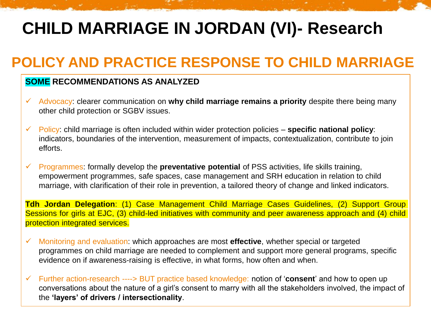# **CHILD MARRIAGE IN JORDAN (VI)- Research**

## **POLICY AND PRACTICE RESPONSE TO CHILD MARRIAGE**

### **SOME RECOMMENDATIONS AS ANALYZED**

- ✓ Advocacy: clearer communication on **why child marriage remains a priority** despite there being many other child protection or SGBV issues.
- ✓ Policy: child marriage is often included within wider protection policies **specific national policy**: indicators, boundaries of the intervention, measurement of impacts, contextualization, contribute to join efforts.
- ✓ Programmes: formally develop the **preventative potential** of PSS activities, life skills training, empowerment programmes, safe spaces, case management and SRH education in relation to child marriage, with clarification of their role in prevention, a tailored theory of change and linked indicators.

**Tdh Jordan Delegation**: (1) Case Management Child Marriage Cases Guidelines, (2) Support Group Sessions for girls at EJC, (3) child-led initiatives with community and peer awareness approach and (4) child protection integrated services.

- ✓ Monitoring and evaluation: which approaches are most **effective**, whether special or targeted programmes on child marriage are needed to complement and support more general programs, specific evidence on if awareness-raising is effective, in what forms, how often and when.
- ✓ Further action-research ----> BUT practice based knowledge: notion of '**consent**' and how to open up conversations about the nature of a girl's consent to marry with all the stakeholders involved, the impact of the **'layers' of drivers / intersectionality**.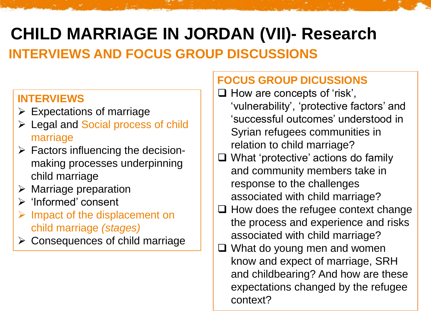# **CHILD MARRIAGE IN JORDAN (VII)- Research INTERVIEWS AND FOCUS GROUP DISCUSSIONS**

### **INTERVIEWS**

- $\triangleright$  Expectations of marriage
- ➢ Legal and Social process of child marriage
- $\triangleright$  Factors influencing the decisionmaking processes underpinning child marriage
- $\triangleright$  Marriage preparation
- ➢ 'Informed' consent
- $\triangleright$  Impact of the displacement on child marriage *(stages)*
- ➢ Consequences of child marriage

### **FOCUS GROUP DICUSSIONS**

- ❑ How are concepts of 'risk', 'vulnerability', 'protective factors' and 'successful outcomes' understood in Syrian refugees communities in relation to child marriage?
- ❑ What 'protective' actions do family and community members take in response to the challenges associated with child marriage?
- ❑ How does the refugee context change the process and experience and risks associated with child marriage?
- ❑ What do young men and women know and expect of marriage, SRH and childbearing? And how are these expectations changed by the refugee context?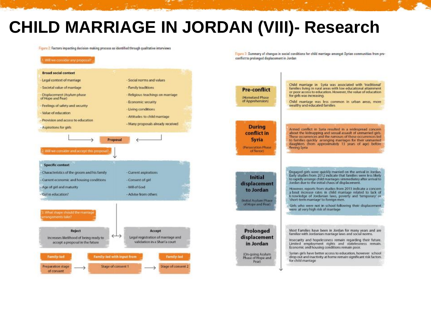# **CHILD MARRIAGE IN JORDAN (VIII)- Research**

Figure 2: Factors impacting decision-making process as identified through qualitative interviews

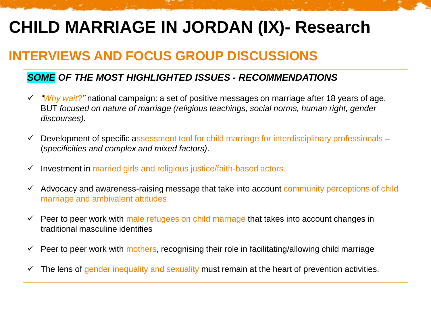# **CHILD MARRIAGE IN JORDAN (IX)- Research**

### **INTERVIEWS AND FOCUS GROUP DISCUSSIONS**

### *SOME OF THE MOST HIGHLIGHTED ISSUES - RECOMMENDATIONS*

- ✓ *"Why wait?"* national campaign: a set of positive messages on marriage after 18 years of age, BUT *focused on nature of marriage (religious teachings, social norms, human right, gender discourses).*
- ✓ Development of specific assessment tool for child marriage for interdisciplinary professionals (*specificities and complex and mixed factors)*.
- ✓ Investment in married girls and religious justice/faith-based actors.
- $\checkmark$  Advocacy and awareness-raising message that take into account community perceptions of child marriage and ambivalent attitudes
- $\checkmark$  Peer to peer work with male refugees on child marriage that takes into account changes in traditional masculine identifies
- ✓ Peer to peer work with mothers, recognising their role in facilitating/allowing child marriage
- $\checkmark$  The lens of gender inequality and sexuality must remain at the heart of prevention activities.